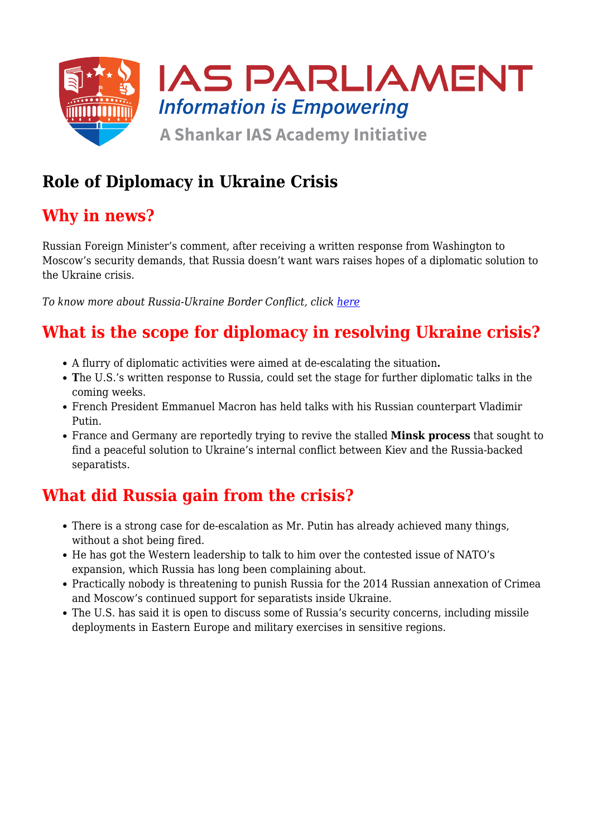

## **Role of Diplomacy in Ukraine Crisis**

### **Why in news?**

Russian Foreign Minister's comment, after receiving a written response from Washington to Moscow's security demands, that Russia doesn't want wars raises hopes of a diplomatic solution to the Ukraine crisis.

*To know more about Russia-Ukraine Border Conflict, click [here](https://www.iasparliament.com/current-affairs/russia-ukraine-border-conflict)*

# **What is the scope for diplomacy in resolving Ukraine crisis?**

- A flurry of diplomatic activities were aimed at de-escalating the situation**.**
- **T**he U.S.'s written response to Russia, could set the stage for further diplomatic talks in the coming weeks.
- French President Emmanuel Macron has held talks with his Russian counterpart Vladimir Putin.
- France and Germany are reportedly trying to revive the stalled **Minsk process** that sought to find a peaceful solution to Ukraine's internal conflict between Kiev and the Russia-backed separatists.

### **What did Russia gain from the crisis?**

- There is a strong case for de-escalation as Mr. Putin has already achieved many things, without a shot being fired.
- He has got the Western leadership to talk to him over the contested issue of NATO's expansion, which Russia has long been complaining about.
- Practically nobody is threatening to punish Russia for the 2014 Russian annexation of Crimea and Moscow's continued support for separatists inside Ukraine.
- The U.S. has said it is open to discuss some of Russia's security concerns, including missile deployments in Eastern Europe and military exercises in sensitive regions.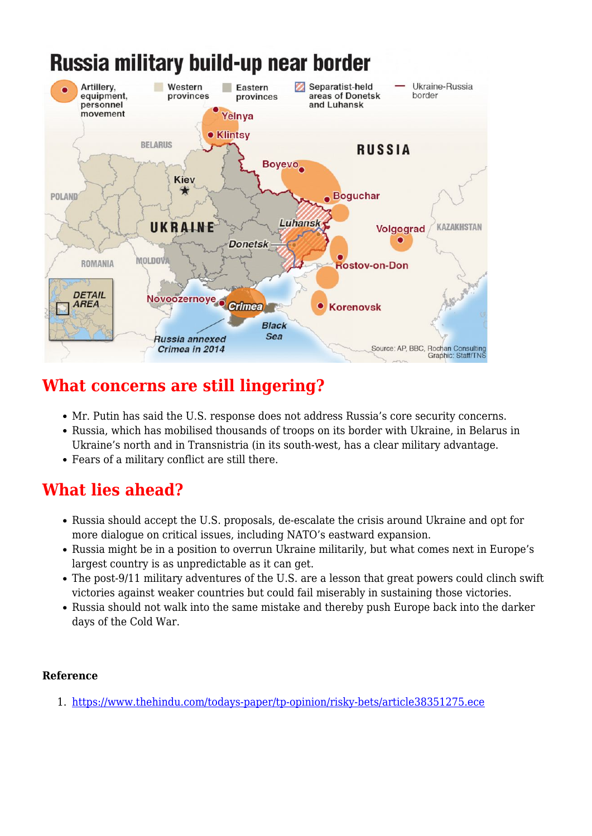# Russia military build-up near border



### **What concerns are still lingering?**

- Mr. Putin has said the U.S. response does not address Russia's core security concerns.
- Russia, which has mobilised thousands of troops on its border with Ukraine, in Belarus in Ukraine's north and in Transnistria (in its south-west, has a clear military advantage.
- Fears of a military conflict are still there.

### **What lies ahead?**

- Russia should accept the U.S. proposals, de-escalate the crisis around Ukraine and opt for more dialogue on critical issues, including NATO's eastward expansion.
- Russia might be in a position to overrun Ukraine militarily, but what comes next in Europe's largest country is as unpredictable as it can get.
- The post-9/11 military adventures of the U.S. are a lesson that great powers could clinch swift victories against weaker countries but could fail miserably in sustaining those victories.
- Russia should not walk into the same mistake and thereby push Europe back into the darker days of the Cold War.

#### **Reference**

1. <https://www.thehindu.com/todays-paper/tp-opinion/risky-bets/article38351275.ece>